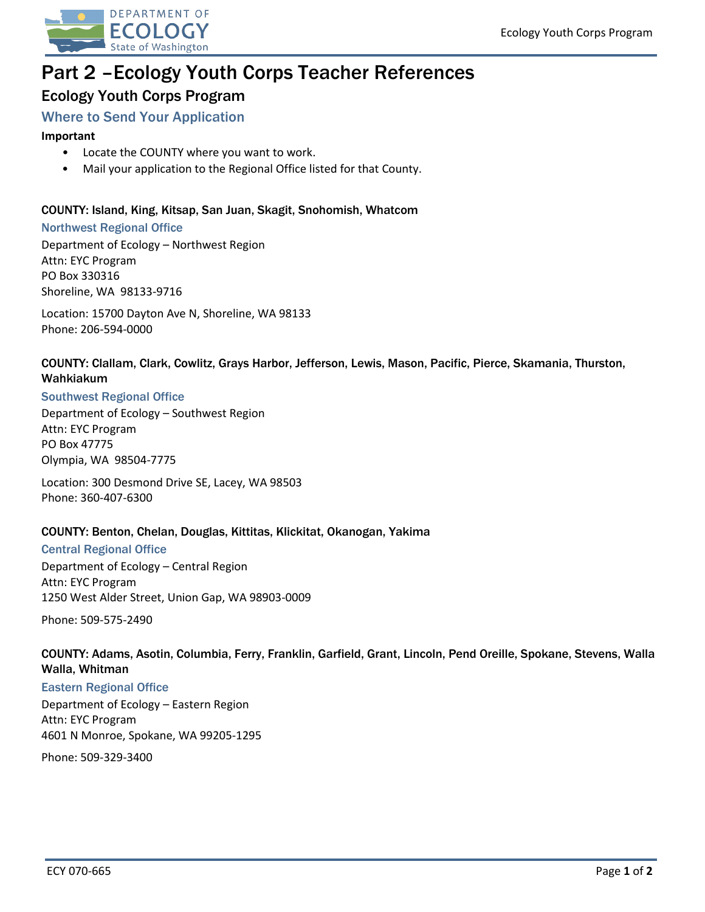

# Part 2 –Ecology Youth Corps Teacher References

# Ecology Youth Corps Program

# Where to Send Your Application

## **Important**

- Locate the COUNTY where you want to work.
- Mail your application to the Regional Office listed for that County.

# COUNTY: Island, King, Kitsap, San Juan, Skagit, Snohomish, Whatcom

#### Northwest Regional Office

Department of Ecology – Northwest Region Attn: EYC Program PO Box 330316 Shoreline, WA 98133-9716

Location: 15700 Dayton Ave N, Shoreline, WA 98133 Phone: 206-594-0000

# COUNTY: Clallam, Clark, Cowlitz, Grays Harbor, Jefferson, Lewis, Mason, Pacific, Pierce, Skamania, Thurston, Wahkiakum

#### Southwest Regional Office

Department of Ecology – Southwest Region Attn: EYC Program PO Box 47775 Olympia, WA 98504-7775

Location: 300 Desmond Drive SE, Lacey, WA 98503 Phone: 360-407-6300

#### COUNTY: Benton, Chelan, Douglas, Kittitas, Klickitat, Okanogan, Yakima

# Central Regional Office

Department of Ecology – Central Region Attn: EYC Program 1250 West Alder Street, Union Gap, WA 98903-0009

Phone: 509-575-2490

# COUNTY: Adams, Asotin, Columbia, Ferry, Franklin, Garfield, Grant, Lincoln, Pend Oreille, Spokane, Stevens, Walla Walla, Whitman

#### Eastern Regional Office

Department of Ecology – Eastern Region Attn: EYC Program 4601 N Monroe, Spokane, WA 99205-1295

Phone: 509-329-3400